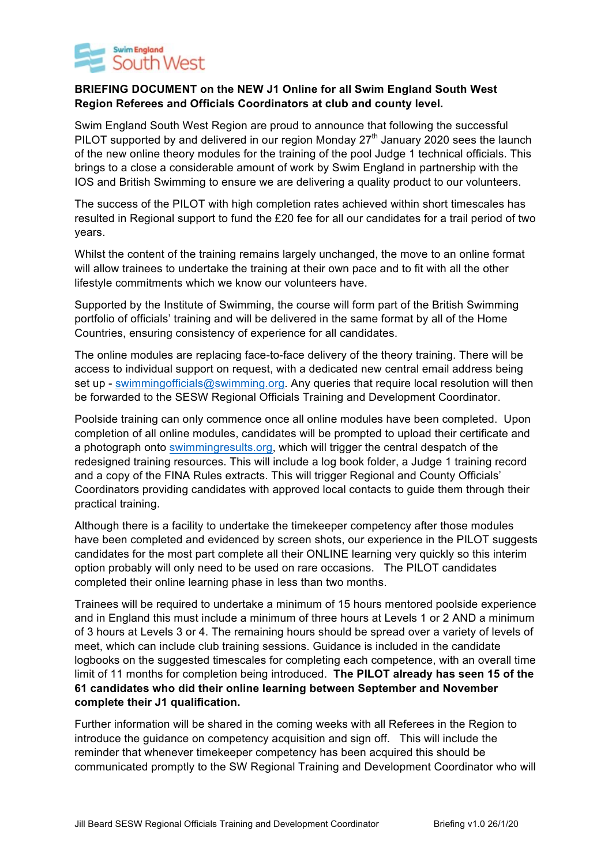

## **BRIEFING DOCUMENT on the NEW J1 Online for all Swim England South West Region Referees and Officials Coordinators at club and county level.**

Swim England South West Region are proud to announce that following the successful PILOT supported by and delivered in our region Monday  $27<sup>th</sup>$  January 2020 sees the launch of the new online theory modules for the training of the pool Judge 1 technical officials. This brings to a close a considerable amount of work by Swim England in partnership with the IOS and British Swimming to ensure we are delivering a quality product to our volunteers.

The success of the PILOT with high completion rates achieved within short timescales has resulted in Regional support to fund the £20 fee for all our candidates for a trail period of two years.

Whilst the content of the training remains largely unchanged, the move to an online format will allow trainees to undertake the training at their own pace and to fit with all the other lifestyle commitments which we know our volunteers have.

Supported by the Institute of Swimming, the course will form part of the British Swimming portfolio of officials' training and will be delivered in the same format by all of the Home Countries, ensuring consistency of experience for all candidates.

The online modules are replacing face-to-face delivery of the theory training. There will be access to individual support on request, with a dedicated new central email address being set up - swimmingofficials@swimming.org. Any queries that require local resolution will then be forwarded to the SESW Regional Officials Training and Development Coordinator.

Poolside training can only commence once all online modules have been completed. Upon completion of all online modules, candidates will be prompted to upload their certificate and a photograph onto swimmingresults.org, which will trigger the central despatch of the redesigned training resources. This will include a log book folder, a Judge 1 training record and a copy of the FINA Rules extracts. This will trigger Regional and County Officials' Coordinators providing candidates with approved local contacts to guide them through their practical training.

Although there is a facility to undertake the timekeeper competency after those modules have been completed and evidenced by screen shots, our experience in the PILOT suggests candidates for the most part complete all their ONLINE learning very quickly so this interim option probably will only need to be used on rare occasions. The PILOT candidates completed their online learning phase in less than two months.

Trainees will be required to undertake a minimum of 15 hours mentored poolside experience and in England this must include a minimum of three hours at Levels 1 or 2 AND a minimum of 3 hours at Levels 3 or 4. The remaining hours should be spread over a variety of levels of meet, which can include club training sessions. Guidance is included in the candidate logbooks on the suggested timescales for completing each competence, with an overall time limit of 11 months for completion being introduced. **The PILOT already has seen 15 of the 61 candidates who did their online learning between September and November complete their J1 qualification.** 

Further information will be shared in the coming weeks with all Referees in the Region to introduce the guidance on competency acquisition and sign off. This will include the reminder that whenever timekeeper competency has been acquired this should be communicated promptly to the SW Regional Training and Development Coordinator who will